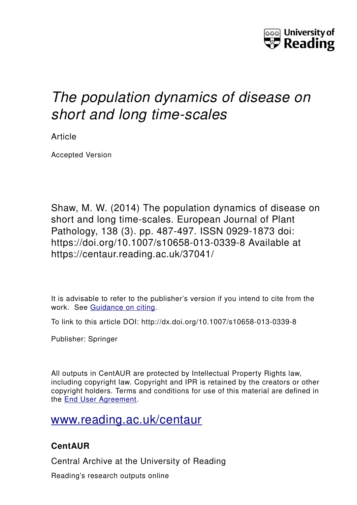

# *The population dynamics of disease on short and long time-scales*

Article

Accepted Version

Shaw, M. W. (2014) The population dynamics of disease on short and long time-scales. European Journal of Plant Pathology, 138 (3). pp. 487-497. ISSN 0929-1873 doi: https://doi.org/10.1007/s10658-013-0339-8 Available at https://centaur.reading.ac.uk/37041/

It is advisable to refer to the publisher's version if you intend to cite from the work. See [Guidance on citing.](http://centaur.reading.ac.uk/71187/10/CentAUR%20citing%20guide.pdf)

To link to this article DOI: http://dx.doi.org/10.1007/s10658-013-0339-8

Publisher: Springer

All outputs in CentAUR are protected by Intellectual Property Rights law, including copyright law. Copyright and IPR is retained by the creators or other copyright holders. Terms and conditions for use of this material are defined in the [End User Agreement.](http://centaur.reading.ac.uk/licence)

# [www.reading.ac.uk/centaur](http://www.reading.ac.uk/centaur)

## **CentAUR**

Central Archive at the University of Reading

Reading's research outputs online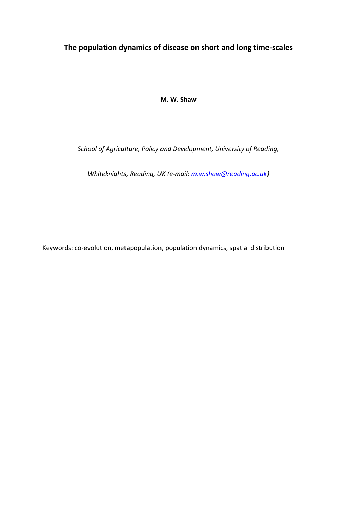## **The population dynamics of disease on short and long time-scales**

**M. W. Shaw**

*School of Agriculture, Policy and Development, University of Reading,*

*Whiteknights, Reading, UK (e-mail: [m.w.shaw@reading.ac.uk\)](mailto:m.w.shaw@reading.ac.uk)*

Keywords: co-evolution, metapopulation, population dynamics, spatial distribution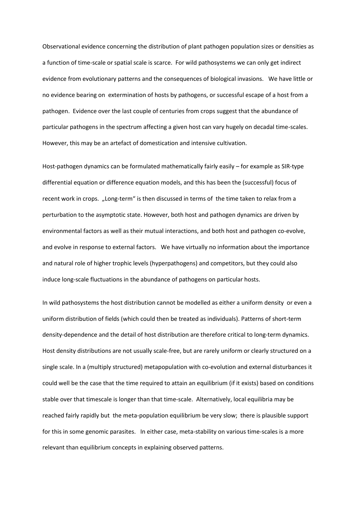Observational evidence concerning the distribution of plant pathogen population sizes or densities as a function of time-scale or spatial scale is scarce. For wild pathosystems we can only get indirect evidence from evolutionary patterns and the consequences of biological invasions. We have little or no evidence bearing on extermination of hosts by pathogens, or successful escape of a host from a pathogen. Evidence over the last couple of centuries from crops suggest that the abundance of particular pathogens in the spectrum affecting a given host can vary hugely on decadal time-scales. However, this may be an artefact of domestication and intensive cultivation.

Host-pathogen dynamics can be formulated mathematically fairly easily – for example as SIR-type differential equation or difference equation models, and this has been the (successful) focus of recent work in crops. "Long-term" is then discussed in terms of the time taken to relax from a perturbation to the asymptotic state. However, both host and pathogen dynamics are driven by environmental factors as well as their mutual interactions, and both host and pathogen co-evolve, and evolve in response to external factors. We have virtually no information about the importance and natural role of higher trophic levels (hyperpathogens) and competitors, but they could also induce long-scale fluctuations in the abundance of pathogens on particular hosts.

In wild pathosystems the host distribution cannot be modelled as either a uniform density or even a uniform distribution of fields (which could then be treated as individuals). Patterns of short-term density-dependence and the detail of host distribution are therefore critical to long-term dynamics. Host density distributions are not usually scale-free, but are rarely uniform or clearly structured on a single scale. In a (multiply structured) metapopulation with co-evolution and external disturbances it could well be the case that the time required to attain an equilibrium (if it exists) based on conditions stable over that timescale is longer than that time-scale. Alternatively, local equilibria may be reached fairly rapidly but the meta-population equilibrium be very slow; there is plausible support for this in some genomic parasites. In either case, meta-stability on various time-scales is a more relevant than equilibrium concepts in explaining observed patterns.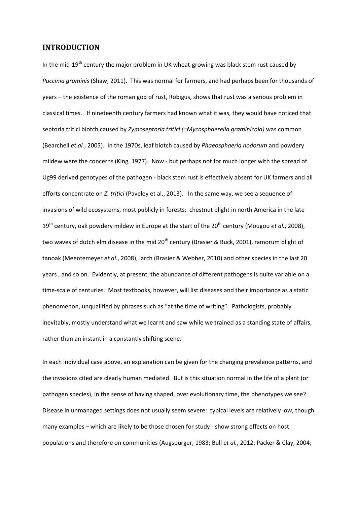#### **INTRODUCTION**

In the mid-19<sup>th</sup> century the major problem in UK wheat-growing was black stem rust caused by *Puccinia graminis* [\(Shaw, 2011\)](#page-20-0). This was normal for farmers, and had perhaps been for thousands of years – the existence of the roman god of rust, Robigus, shows that rust was a serious problem in classical times. If nineteenth century farmers had known what it was, they would have noticed that septoria tritici blotch caused by *Zymoseptoria tritici (=Mycosphaerella graminicola)* was common [\(Bearchell](#page-16-0) *et al.*, 2005). In the 1970s, leaf blotch caused by *Phaeosphaeria nodorum* and powdery mildew were the concerns [\(King, 1977\)](#page-19-0). Now - but perhaps not for much longer with the spread of Ug99 derived genotypes of the pathogen - black stem rust is effectively absent for UK farmers and all efforts concentrate on *Z. tritici* [\(Paveley et al., 2013\)](#page-20-1). In the same way, we see a sequence of invasions of wild ecosystems, most publicly in forests: chestnut blight in north America in the late 19<sup>th</sup> century, oak powdery mildew in Europe at the start of the 20<sup>th</sup> century [\(Mougou](#page-19-1) *et al.*, 2008), two waves of dutch elm disease in the mid 20<sup>th</sup> century [\(Brasier & Buck, 2001\)](#page-16-1), ramorum blight of tanoak [\(Meentemeyer](#page-19-2) *et al.*, 2008), larch [\(Brasier & Webber, 2010\)](#page-17-0) and other species in the last 20 years , and so on. Evidently, at present, the abundance of different pathogens is quite variable on a time-scale of centuries. Most textbooks, however, will list diseases and their importance as a static phenomenon, unqualified by phrases such as "at the time of writing". Pathologists, probably inevitably, mostly understand what we learnt and saw while we trained as a standing state of affairs, rather than an instant in a constantly shifting scene.

In each individual case above, an explanation can be given for the changing prevalence patterns, and the invasions cited are clearly human mediated. But is this situation normal in the life of a plant (or pathogen species), in the sense of having shaped, over evolutionary time, the phenotypes we see? Disease in unmanaged settings does not usually seem severe: typical levels are relatively low, though many examples – which are likely to be those chosen for study - show strong effects on host populations and therefore on communities [\(Augspurger, 1983;](#page-16-2) Bull *et al.*[, 2012;](#page-17-1) [Packer & Clay, 2004;](#page-20-2)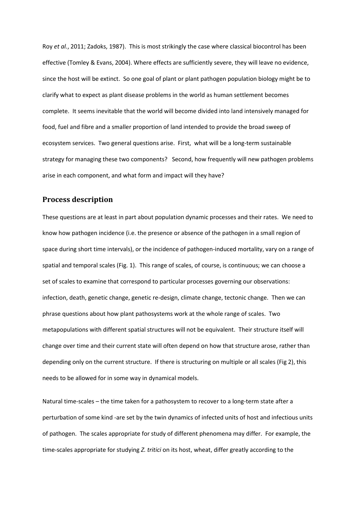Roy *et al.*[, 2011;](#page-20-3) [Zadoks, 1987\)](#page-22-0). This is most strikingly the case where classical biocontrol has been effective [\(Tomley & Evans, 2004\)](#page-21-0). Where effects are sufficiently severe, they will leave no evidence, since the host will be extinct. So one goal of plant or plant pathogen population biology might be to clarify what to expect as plant disease problems in the world as human settlement becomes complete. It seems inevitable that the world will become divided into land intensively managed for food, fuel and fibre and a smaller proportion of land intended to provide the broad sweep of ecosystem services. Two general questions arise. First, what will be a long-term sustainable strategy for managing these two components? Second, how frequently will new pathogen problems arise in each component, and what form and impact will they have?

#### **Process description**

These questions are at least in part about population dynamic processes and their rates. We need to know how pathogen incidence (i.e. the presence or absence of the pathogen in a small region of space during short time intervals), or the incidence of pathogen-induced mortality, vary on a range of spatial and temporal scales (Fig. 1). This range of scales, of course, is continuous; we can choose a set of scales to examine that correspond to particular processes governing our observations: infection, death, genetic change, genetic re-design, climate change, tectonic change. Then we can phrase questions about how plant pathosystems work at the whole range of scales. Two metapopulations with different spatial structures will not be equivalent. Their structure itself will change over time and their current state will often depend on how that structure arose, rather than depending only on the current structure. If there is structuring on multiple or all scales (Fig 2), this needs to be allowed for in some way in dynamical models.

Natural time-scales – the time taken for a pathosystem to recover to a long-term state after a perturbation of some kind -are set by the twin dynamics of infected units of host and infectious units of pathogen. The scales appropriate for study of different phenomena may differ. For example, the time-scales appropriate for studying *Z. tritici* on its host, wheat, differ greatly according to the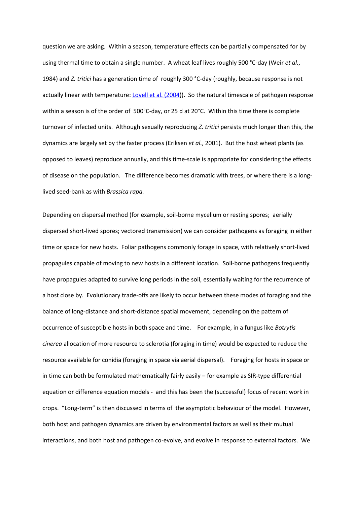question we are asking. Within a season, temperature effects can be partially compensated for by using thermal time to obtain a single number. A wheat leaf lives roughly 500 °C-day [\(Weir](#page-21-1) *et al.*, [1984\)](#page-21-1) and *Z. tritici* has a generation time of roughly 300 °C-day (roughly, because response is not actually linear with temperature[: Lovell](#page-19-3) et al. (2004)). So the natural timescale of pathogen response within a season is of the order of 500°C-day, or 25 d at 20°C. Within this time there is complete turnover of infected units. Although sexually reproducing *Z. tritici* persists much longer than this, the dynamics are largely set by the faster process [\(Eriksen](#page-18-0) *et al.*, 2001). But the host wheat plants (as opposed to leaves) reproduce annually, and this time-scale is appropriate for considering the effects of disease on the population. The difference becomes dramatic with trees, or where there is a longlived seed-bank as with *Brassica rapa.*

Depending on dispersal method (for example, soil-borne mycelium or resting spores; aerially dispersed short-lived spores; vectored transmission) we can consider pathogens as foraging in either time or space for new hosts. Foliar pathogens commonly forage in space, with relatively short-lived propagules capable of moving to new hosts in a different location. Soil-borne pathogens frequently have propagules adapted to survive long periods in the soil, essentially waiting for the recurrence of a host close by. Evolutionary trade-offs are likely to occur between these modes of foraging and the balance of long-distance and short-distance spatial movement, depending on the pattern of occurrence of susceptible hosts in both space and time. For example, in a fungus like *Botrytis cinerea* allocation of more resource to sclerotia (foraging in time) would be expected to reduce the resource available for conidia (foraging in space via aerial dispersal). Foraging for hosts in space or in time can both be formulated mathematically fairly easily – for example as SIR-type differential equation or difference equation models - and this has been the (successful) focus of recent work in crops. "Long-term" is then discussed in terms of the asymptotic behaviour of the model. However, both host and pathogen dynamics are driven by environmental factors as well as their mutual interactions, and both host and pathogen co-evolve, and evolve in response to external factors. We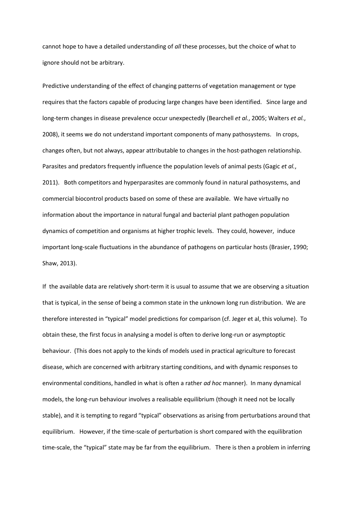cannot hope to have a detailed understanding of *all* these processes, but the choice of what to ignore should not be arbitrary.

Predictive understanding of the effect of changing patterns of vegetation management or type requires that the factors capable of producing large changes have been identified. Since large and long-term changes in disease prevalence occur unexpectedly [\(Bearchell](#page-16-0) *et al.*, 2005; [Walters](#page-21-2) *et al.*, [2008\)](#page-21-2), it seems we do not understand important components of many pathosystems. In crops, changes often, but not always, appear attributable to changes in the host-pathogen relationship. Parasites and predators frequently influence the population levels of animal pests [\(Gagic](#page-18-1) *et al.*, [2011\)](#page-18-1). Both competitors and hyperparasites are commonly found in natural pathosystems, and commercial biocontrol products based on some of these are available. We have virtually no information about the importance in natural fungal and bacterial plant pathogen population dynamics of competition and organisms at higher trophic levels. They could, however, induce important long-scale fluctuations in the abundance of pathogens on particular hosts [\(Brasier, 1990;](#page-16-3) [Shaw, 2013\)](#page-20-4).

If the available data are relatively short-term it is usual to assume that we are observing a situation that is typical, in the sense of being a common state in the unknown long run distribution. We are therefore interested in "typical" model predictions for comparison (cf. Jeger et al, this volume). To obtain these, the first focus in analysing a model is often to derive long-run or asymptoptic behaviour. (This does not apply to the kinds of models used in practical agriculture to forecast disease, which are concerned with arbitrary starting conditions, and with dynamic responses to environmental conditions, handled in what is often a rather *ad hoc* manner). In many dynamical models, the long-run behaviour involves a realisable equilibrium (though it need not be locally stable), and it is tempting to regard "typical" observations as arising from perturbations around that equilibrium. However, if the time-scale of perturbation is short compared with the equilibration time-scale, the "typical" state may be far from the equilibrium. There is then a problem in inferring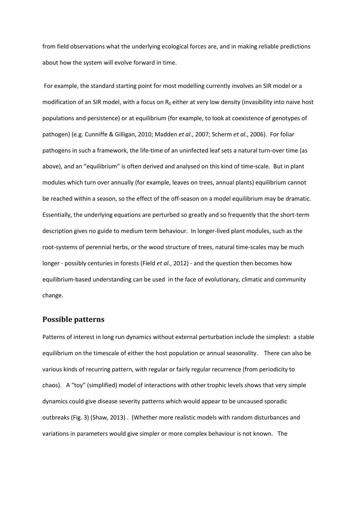from field observations what the underlying ecological forces are, and in making reliable predictions about how the system will evolve forward in time.

For example, the standard starting point for most modelling currently involves an SIR model or a modification of an SIR model, with a focus on  $R_0$  either at very low density (invasibility into naive host populations and persistence) or at equilibrium (for example, to look at coexistence of genotypes of pathogen) (e.g. [Cunniffe & Gilligan, 2010;](#page-17-2) [Madden](#page-19-4) *et al.*, 2007; [Scherm](#page-20-5) *et al.*, 2006). For foliar pathogens in such a framework, the life-time of an uninfected leaf sets a natural turn-over time (as above), and an "equilibrium" is often derived and analysed on this kind of time-scale. But in plant modules which turn over annually (for example, leaves on trees, annual plants) equilibrium cannot be reached within a season, so the effect of the off-season on a model equilibrium may be dramatic. Essentially, the underlying equations are perturbed so greatly and so frequently that the short-term description gives no guide to medium term behaviour. In longer-lived plant modules, such as the root-systems of perennial herbs, or the wood structure of trees, natural time-scales may be much longer - possibly centuries in forests (Field *et al.*[, 2012\)](#page-18-2) - and the question then becomes how equilibrium-based understanding can be used in the face of evolutionary, climatic and community change.

#### **Possible patterns**

Patterns of interest in long run dynamics without external perturbation include the simplest: a stable equilibrium on the timescale of either the host population or annual seasonality. There can also be various kinds of recurring pattern, with regular or fairly regular recurrence (from periodicity to chaos). A "toy" (simplified) model of interactions with other trophic levels shows that very simple dynamics could give disease severity patterns which would appear to be uncaused sporadic outbreaks (Fig. 3) [\(Shaw, 2013\)](#page-20-4) . (Whether more realistic models with random disturbances and variations in parameters would give simpler or more complex behaviour is not known. The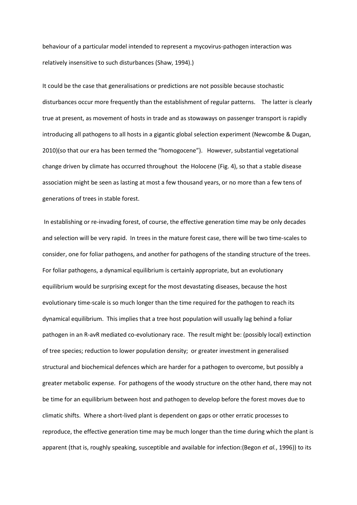behaviour of a particular model intended to represent a mycovirus-pathogen interaction was relatively insensitive to such disturbances [\(Shaw, 1994\)](#page-20-6).)

It could be the case that generalisations or predictions are not possible because stochastic disturbances occur more frequently than the establishment of regular patterns. The latter is clearly true at present, as movement of hosts in trade and as stowaways on passenger transport is rapidly introducing all pathogens to all hosts in a gigantic global selection experiment [\(Newcombe & Dugan,](#page-19-5)  [2010\)](#page-19-5)(so that our era has been termed the "homogocene"). However, substantial vegetational change driven by climate has occurred throughout the Holocene (Fig. 4), so that a stable disease association might be seen as lasting at most a few thousand years, or no more than a few tens of generations of trees in stable forest.

In establishing or re-invading forest, of course, the effective generation time may be only decades and selection will be very rapid. In trees in the mature forest case, there will be two time-scales to consider, one for foliar pathogens, and another for pathogens of the standing structure of the trees. For foliar pathogens, a dynamical equilibrium is certainly appropriate, but an evolutionary equilibrium would be surprising except for the most devastating diseases, because the host evolutionary time-scale is so much longer than the time required for the pathogen to reach its dynamical equilibrium. This implies that a tree host population will usually lag behind a foliar pathogen in an R-avR mediated co-evolutionary race. The result might be: (possibly local) extinction of tree species; reduction to lower population density; or greater investment in generalised structural and biochemical defences which are harder for a pathogen to overcome, but possibly a greater metabolic expense. For pathogens of the woody structure on the other hand, there may not be time for an equilibrium between host and pathogen to develop before the forest moves due to climatic shifts. Where a short-lived plant is dependent on gaps or other erratic processes to reproduce, the effective generation time may be much longer than the time during which the plant is apparent (that is, roughly speaking, susceptible and available for infection:[\(Begon](#page-16-4) *et al.*, 1996)) to its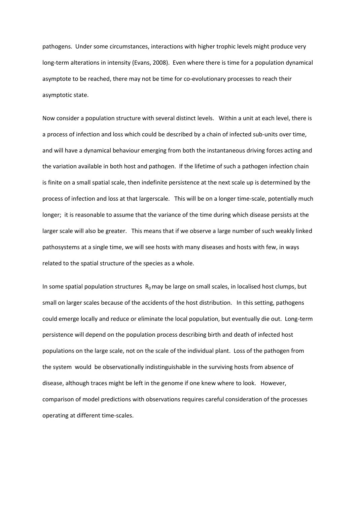pathogens. Under some circumstances, interactions with higher trophic levels might produce very long-term alterations in intensity [\(Evans, 2008\)](#page-18-3). Even where there is time for a population dynamical asymptote to be reached, there may not be time for co-evolutionary processes to reach their asymptotic state.

Now consider a population structure with several distinct levels. Within a unit at each level, there is a process of infection and loss which could be described by a chain of infected sub-units over time, and will have a dynamical behaviour emerging from both the instantaneous driving forces acting and the variation available in both host and pathogen. If the lifetime of such a pathogen infection chain is finite on a small spatial scale, then indefinite persistence at the next scale up is determined by the process of infection and loss at that largerscale. This will be on a longer time-scale, potentially much longer; it is reasonable to assume that the variance of the time during which disease persists at the larger scale will also be greater. This means that if we observe a large number of such weakly linked pathosystems at a single time, we will see hosts with many diseases and hosts with few, in ways related to the spatial structure of the species as a whole.

In some spatial population structures  $R_0$  may be large on small scales, in localised host clumps, but small on larger scales because of the accidents of the host distribution. In this setting, pathogens could emerge locally and reduce or eliminate the local population, but eventually die out. Long-term persistence will depend on the population process describing birth and death of infected host populations on the large scale, not on the scale of the individual plant. Loss of the pathogen from the system would be observationally indistinguishable in the surviving hosts from absence of disease, although traces might be left in the genome if one knew where to look. However, comparison of model predictions with observations requires careful consideration of the processes operating at different time-scales.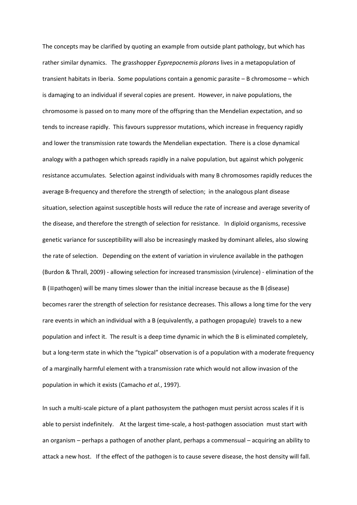The concepts may be clarified by quoting an example from outside plant pathology, but which has rather similar dynamics. The grasshopper *Eyprepocnemis plorans* lives in a metapopulation of transient habitats in Iberia. Some populations contain a genomic parasite – B chromosome – which is damaging to an individual if several copies are present. However, in naive populations, the chromosome is passed on to many more of the offspring than the Mendelian expectation, and so tends to increase rapidly. This favours suppressor mutations, which increase in frequency rapidly and lower the transmission rate towards the Mendelian expectation. There is a close dynamical analogy with a pathogen which spreads rapidly in a naïve population, but against which polygenic resistance accumulates. Selection against individuals with many B chromosomes rapidly reduces the average B-frequency and therefore the strength of selection; in the analogous plant disease situation, selection against susceptible hosts will reduce the rate of increase and average severity of the disease, and therefore the strength of selection for resistance. In diploid organisms, recessive genetic variance for susceptibility will also be increasingly masked by dominant alleles, also slowing the rate of selection. Depending on the extent of variation in virulence available in the pathogen [\(Burdon & Thrall, 2009\)](#page-17-3) - allowing selection for increased transmission (virulence) - elimination of the B (≡pathogen) will be many times slower than the initial increase because as the B (disease) becomes rarer the strength of selection for resistance decreases. This allows a long time for the very rare events in which an individual with a B (equivalently, a pathogen propagule) travels to a new population and infect it. The result is a deep time dynamic in which the B is eliminated completely, but a long-term state in which the "typical" observation is of a population with a moderate frequency of a marginally harmful element with a transmission rate which would not allow invasion of the population in which it exists [\(Camacho](#page-17-4) *et al.*, 1997).

In such a multi-scale picture of a plant pathosystem the pathogen must persist across scales if it is able to persist indefinitely. At the largest time-scale, a host-pathogen association must start with an organism – perhaps a pathogen of another plant, perhaps a commensual – acquiring an ability to attack a new host. If the effect of the pathogen is to cause severe disease, the host density will fall.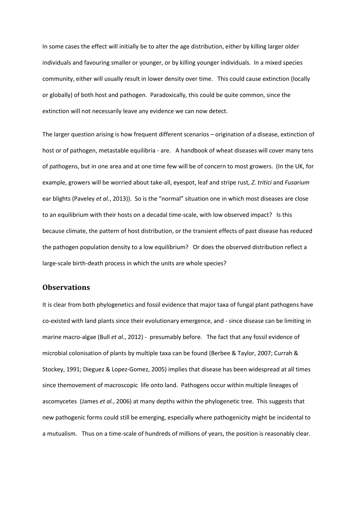In some cases the effect will initially be to alter the age distribution, either by killing larger older individuals and favouring smaller or younger, or by killing younger individuals. In a mixed species community, either will usually result in lower density over time. This could cause extinction (locally or globally) of both host and pathogen. Paradoxically, this could be quite common, since the extinction will not necessarily leave any evidence we can now detect.

The larger question arising is how frequent different scenarios – origination of a disease, extinction of host or of pathogen, metastable equilibria - are. A handbook of wheat diseases will cover many tens of pathogens, but in one area and at one time few will be of concern to most growers. (In the UK, for example, growers will be worried about take-all, eyespot, leaf and stripe rust, *Z. tritici* and *Fusarium* ear blights [\(Paveley](#page-20-1) *et al.*, 2013)). So is the "normal" situation one in which most diseases are close to an equilibrium with their hosts on a decadal time-scale, with low observed impact? Is this because climate, the pattern of host distribution, or the transient effects of past disease has reduced the pathogen population density to a low equilibrium? Or does the observed distribution reflect a large-scale birth-death process in which the units are whole species?

#### **Observations**

It is clear from both phylogenetics and fossil evidence that major taxa of fungal plant pathogens have co-existed with land plants since their evolutionary emergence, and - since disease can be limiting in marine macro-algae (Bull *et al.*[, 2012\)](#page-17-1) - presumably before. The fact that any fossil evidence of microbial colonisation of plants by multiple taxa can be found [\(Berbee & Taylor, 2007;](#page-16-5) [Currah &](#page-17-5)  [Stockey, 1991;](#page-17-5) [Dieguez & Lopez-Gomez, 2005\)](#page-17-6) implies that disease has been widespread at all times since themovement of macroscopic life onto land. Pathogens occur within multiple lineages of ascomycetes (James *et al.*[, 2006\)](#page-19-6) at many depths within the phylogenetic tree. This suggests that new pathogenic forms could still be emerging, especially where pathogenicity might be incidental to a mutualism. Thus on a time-scale of hundreds of millions of years, the position is reasonably clear.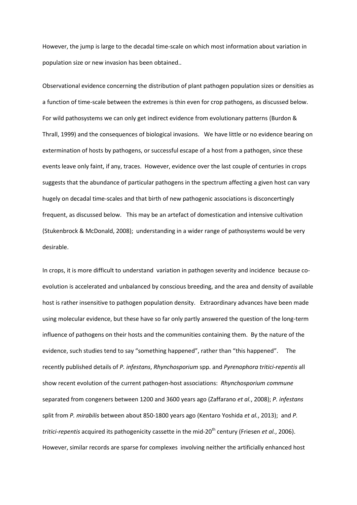However, the jump is large to the decadal time-scale on which most information about variation in population size or new invasion has been obtained..

Observational evidence concerning the distribution of plant pathogen population sizes or densities as a function of time-scale between the extremes is thin even for crop pathogens, as discussed below. For wild pathosystems we can only get indirect evidence from evolutionary patterns [\(Burdon &](#page-17-7)  [Thrall, 1999\)](#page-17-7) and the consequences of biological invasions. We have little or no evidence bearing on extermination of hosts by pathogens, or successful escape of a host from a pathogen, since these events leave only faint, if any, traces. However, evidence over the last couple of centuries in crops suggests that the abundance of particular pathogens in the spectrum affecting a given host can vary hugely on decadal time-scales and that birth of new pathogenic associations is disconcertingly frequent, as discussed below. This may be an artefact of domestication and intensive cultivation [\(Stukenbrock & McDonald, 2008\)](#page-21-3); understanding in a wider range of pathosystems would be very desirable.

In crops, it is more difficult to understand variation in pathogen severity and incidence because coevolution is accelerated and unbalanced by conscious breeding, and the area and density of available host is rather insensitive to pathogen population density. Extraordinary advances have been made using molecular evidence, but these have so far only partly answered the question of the long-term influence of pathogens on their hosts and the communities containing them. By the nature of the evidence, such studies tend to say "something happened", rather than "this happened". The recently published details of *P. infestans*, *Rhynchosporium* spp. and *Pyrenophora tritici-repentis* all show recent evolution of the current pathogen-host associations: *Rhynchosporium commune*  separated from congeners between 1200 and 3600 years ago [\(Zaffarano](#page-22-1) *et al.*, 2008); *P. infestans*  split from *P. mirabilis* between about 850-1800 years ago [\(Kentaro Yoshida](#page-19-7) *et al.*, 2013); and *P. tritici-repentis* acquired its pathogenicity cassette in the mid-20<sup>th</sup> century [\(Friesen](#page-18-4) *et al.*, 2006). However, similar records are sparse for complexes involving neither the artificially enhanced host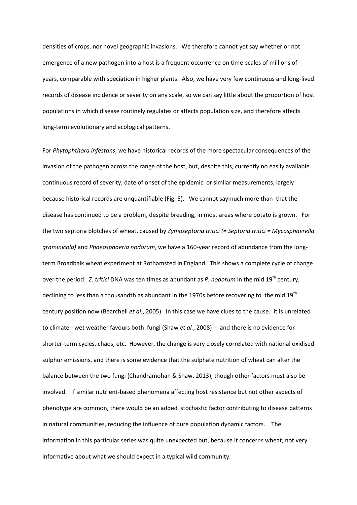densities of crops, nor novel geographic invasions. We therefore cannot yet say whether or not emergence of a new pathogen into a host is a frequent occurrence on time-scales of millions of years, comparable with speciation in higher plants. Also, we have very few continuous and long-lived records of disease incidence or severity on any scale, so we can say little about the proportion of host populations in which disease routinely regulates or affects population size, and therefore affects long-term evolutionary and ecological patterns.

For *Phytophthora infestans*, we have historical records of the more spectacular consequences of the invasion of the pathogen across the range of the host, but, despite this, currently no easily available continuous record of severity, date of onset of the epidemic or similar measurements, largely because historical records are unquantifiable (Fig. 5). We cannot saymuch more than that the disease has continued to be a problem, despite breeding, in most areas where potato is grown. For the two septoria blotches of wheat, caused by *Zymoseptoria tritici (= Septoria tritici = Mycosphaerella graminicola)* and *Phaeosphaeria nodorum*, we have a 160-year record of abundance from the longterm Broadbalk wheat experiment at Rothamsted in England. This shows a complete cycle of change over the period: *Z. tritici* DNA was ten times as abundant as *P. nodorum* in the mid 19<sup>th</sup> century, declining to less than a thousandth as abundant in the 1970s before recovering to the mid 19<sup>th</sup> century position now [\(Bearchell](#page-16-0) *et al.*, 2005). In this case we have clues to the cause. It is unrelated to climate - wet weather favours both fungi (Shaw *et al.*[, 2008\)](#page-21-4) - and there is no evidence for shorter-term cycles, chaos, etc. However, the change is very closely correlated with national oxidised sulphur emissions, and there is some evidence that the sulphate nutrition of wheat can alter the balance between the two fungi [\(Chandramohan & Shaw, 2013\)](#page-17-8), though other factors must also be involved. If similar nutrient-based phenomena affecting host resistance but not other aspects of phenotype are common, there would be an added stochastic factor contributing to disease patterns in natural communities, reducing the influence of pure population dynamic factors. The information in this particular series was quite unexpected but, because it concerns wheat, not very informative about what we should expect in a typical wild community.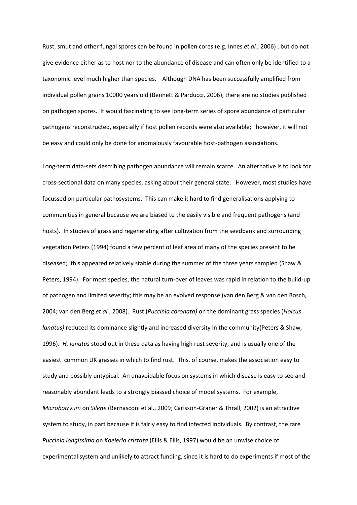Rust, smut and other fungal spores can be found in pollen cores [\(e.g. Innes](#page-18-5) *et al.*, 2006) , but do not give evidence either as to host nor to the abundance of disease and can often only be identified to a taxonomic level much higher than species. Although DNA has been successfully amplified from individual pollen grains 10000 years old [\(Bennett & Parducci, 2006\)](#page-16-6), there are no studies published on pathogen spores. It would fascinating to see long-term series of spore abundance of particular pathogens reconstructed, especially if host pollen records were also available; however, it will not be easy and could only be done for anomalously favourable host-pathogen associations.

Long-term data-sets describing pathogen abundance will remain scarce. An alternative is to look for cross-sectional data on many species, asking about their general state. However, most studies have focussed on particular pathosystems. This can make it hard to find generalisations applying to communities in general because we are biased to the easily visible and frequent pathogens (and hosts). In studies of grassland regenerating after cultivation from the seedbank and surrounding vegetation Peters [\(1994\)](#page-20-7) found a few percent of leaf area of many of the species present to be diseased; this appeared relatively stable during the summer of the three years sampled [\(Shaw &](#page-21-5)  [Peters, 1994\)](#page-21-5). For most species, the natural turn-over of leaves was rapid in relation to the build-up of pathogen and limited severity; this may be an evolved response [\(van den Berg & van den Bosch,](#page-21-6)  [2004;](#page-21-6) [van den Berg](#page-21-7) *et al.*, 2008). Rust (*Puccinia coronata)* on the dominant grass species (*Holcus lanatus)* reduced its dominance slightly and increased diversity in the community[\(Peters & Shaw,](#page-20-8)  [1996\)](#page-20-8). *H. lanatus* stood out in these data as having high rust severity, and is usually one of the easiest common UK grasses in which to find rust. This, of course, makes the association easy to study and possibly untypical. An unavoidable focus on systems in which disease is easy to see and reasonably abundant leads to a strongly biassed choice of model systems. For example, *Microbotryum* on *Silene* [\(Bernasconi et al., 2009;](#page-16-7) [Carlsson-Graner & Thrall, 2002\)](#page-17-9) is an attractive system to study, in part because it is fairly easy to find infected individuals. By contrast, the rare *Puccinia longissima* on *Koeleria cristata* [\(Ellis & Ellis, 1997\)](#page-18-6) would be an unwise choice of experimental system and unlikely to attract funding, since it is hard to do experiments if most of the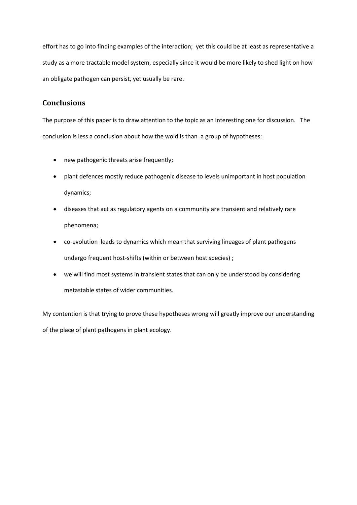effort has to go into finding examples of the interaction; yet this could be at least as representative a study as a more tractable model system, especially since it would be more likely to shed light on how an obligate pathogen can persist, yet usually be rare.

#### **Conclusions**

The purpose of this paper is to draw attention to the topic as an interesting one for discussion. The conclusion is less a conclusion about how the wold is than a group of hypotheses:

- new pathogenic threats arise frequently;
- plant defences mostly reduce pathogenic disease to levels unimportant in host population dynamics;
- diseases that act as regulatory agents on a community are transient and relatively rare phenomena;
- co-evolution leads to dynamics which mean that surviving lineages of plant pathogens undergo frequent host-shifts (within or between host species) ;
- we will find most systems in transient states that can only be understood by considering metastable states of wider communities.

My contention is that trying to prove these hypotheses wrong will greatly improve our understanding of the place of plant pathogens in plant ecology.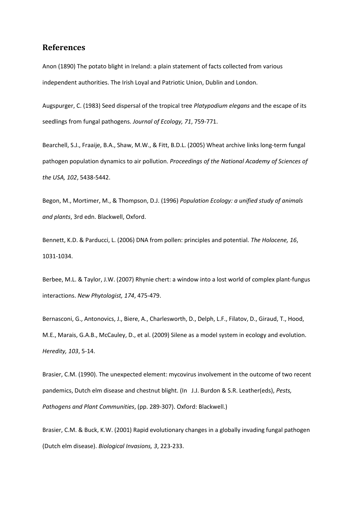#### **References**

<span id="page-16-8"></span>Anon (1890) The potato blight in Ireland: a plain statement of facts collected from various independent authorities. The Irish Loyal and Patriotic Union, Dublin and London.

<span id="page-16-2"></span>Augspurger, C. (1983) Seed dispersal of the tropical tree *Platypodium elegans* and the escape of its seedlings from fungal pathogens. *Journal of Ecology, 71*, 759-771.

<span id="page-16-0"></span>Bearchell, S.J., Fraaije, B.A., Shaw, M.W., & Fitt, B.D.L. (2005) Wheat archive links long-term fungal pathogen population dynamics to air pollution. *Proceedings of the National Academy of Sciences of the USA, 102*, 5438-5442.

<span id="page-16-4"></span>Begon, M., Mortimer, M., & Thompson, D.J. (1996) *Population Ecology: a unified study of animals and plants*, 3rd edn. Blackwell, Oxford.

<span id="page-16-6"></span>Bennett, K.D. & Parducci, L. (2006) DNA from pollen: principles and potential. *The Holocene, 16*, 1031-1034.

<span id="page-16-5"></span>Berbee, M.L. & Taylor, J.W. (2007) Rhynie chert: a window into a lost world of complex plant-fungus interactions. *New Phytologist, 174*, 475-479.

<span id="page-16-7"></span>Bernasconi, G., Antonovics, J., Biere, A., Charlesworth, D., Delph, L.F., Filatov, D., Giraud, T., Hood, M.E., Marais, G.A.B., McCauley, D., et al. (2009) Silene as a model system in ecology and evolution. *Heredity, 103*, 5-14.

<span id="page-16-3"></span>Brasier, C.M. (1990). The unexpected element: mycovirus involvement in the outcome of two recent pandemics, Dutch elm disease and chestnut blight. (In J.J. Burdon & S.R. Leather(eds), *Pests, Pathogens and Plant Communities*, (pp. 289-307). Oxford: Blackwell.)

<span id="page-16-1"></span>Brasier, C.M. & Buck, K.W. (2001) Rapid evolutionary changes in a globally invading fungal pathogen (Dutch elm disease). *Biological Invasions, 3*, 223-233.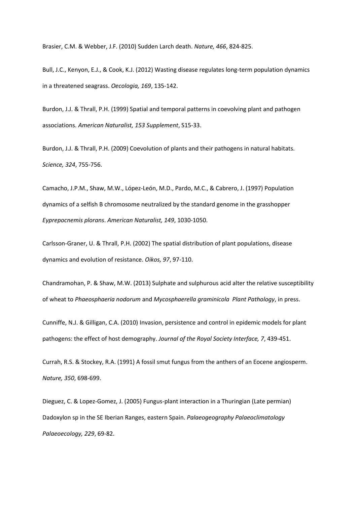<span id="page-17-0"></span>Brasier, C.M. & Webber, J.F. (2010) Sudden Larch death. *Nature, 466*, 824-825.

<span id="page-17-1"></span>Bull, J.C., Kenyon, E.J., & Cook, K.J. (2012) Wasting disease regulates long-term population dynamics in a threatened seagrass. *Oecologia, 169*, 135-142.

<span id="page-17-7"></span>Burdon, J.J. & Thrall, P.H. (1999) Spatial and temporal patterns in coevolving plant and pathogen associations. *American Naturalist, 153 Supplement*, S15-33.

<span id="page-17-3"></span>Burdon, J.J. & Thrall, P.H. (2009) Coevolution of plants and their pathogens in natural habitats. *Science, 324*, 755-756.

<span id="page-17-4"></span>Camacho, J.P.M., Shaw, M.W., López-León, M.D., Pardo, M.C., & Cabrero, J. (1997) Population dynamics of a selfish B chromosome neutralized by the standard genome in the grasshopper *Eyprepocnemis plorans*. *American Naturalist, 149*, 1030-1050.

<span id="page-17-9"></span>Carlsson-Graner, U. & Thrall, P.H. (2002) The spatial distribution of plant populations, disease dynamics and evolution of resistance. *Oikos, 97*, 97-110.

<span id="page-17-8"></span>Chandramohan, P. & Shaw, M.W. (2013) Sulphate and sulphurous acid alter the relative susceptibility of wheat to *Phaeosphaeria nodorum* and *Mycosphaerella graminicola Plant Pathology*, in press.

<span id="page-17-2"></span>Cunniffe, N.J. & Gilligan, C.A. (2010) Invasion, persistence and control in epidemic models for plant pathogens: the effect of host demography. *Journal of the Royal Society Interface, 7*, 439-451.

<span id="page-17-5"></span>Currah, R.S. & Stockey, R.A. (1991) A fossil smut fungus from the anthers of an Eocene angiosperm. *Nature, 350*, 698-699.

<span id="page-17-6"></span>Dieguez, C. & Lopez-Gomez, J. (2005) Fungus-plant interaction in a Thuringian (Late permian) Dadoxylon sp in the SE Iberian Ranges, eastern Spain. *Palaeogeography Palaeoclimatology Palaeoecology, 229*, 69-82.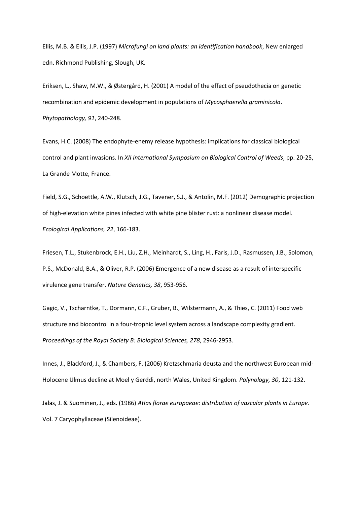<span id="page-18-6"></span>Ellis, M.B. & Ellis, J.P. (1997) *Microfungi on land plants: an identification handbook*, New enlarged edn. Richmond Publishing, Slough, UK.

<span id="page-18-0"></span>Eriksen, L., Shaw, M.W., & Østergård, H. (2001) A model of the effect of pseudothecia on genetic recombination and epidemic development in populations of *Mycosphaerella graminicola*. *Phytopathology, 91*, 240-248.

<span id="page-18-3"></span>Evans, H.C. (2008) The endophyte-enemy release hypothesis: implications for classical biological control and plant invasions. In *XII International Symposium on Biological Control of Weeds*, pp. 20-25, La Grande Motte, France.

<span id="page-18-2"></span>Field, S.G., Schoettle, A.W., Klutsch, J.G., Tavener, S.J., & Antolin, M.F. (2012) Demographic projection of high-elevation white pines infected with white pine blister rust: a nonlinear disease model. *Ecological Applications, 22*, 166-183.

<span id="page-18-4"></span>Friesen, T.L., Stukenbrock, E.H., Liu, Z.H., Meinhardt, S., Ling, H., Faris, J.D., Rasmussen, J.B., Solomon, P.S., McDonald, B.A., & Oliver, R.P. (2006) Emergence of a new disease as a result of interspecific virulence gene transfer. *Nature Genetics, 38*, 953-956.

<span id="page-18-1"></span>Gagic, V., Tscharntke, T., Dormann, C.F., Gruber, B., Wilstermann, A., & Thies, C. (2011) Food web structure and biocontrol in a four-trophic level system across a landscape complexity gradient. *Proceedings of the Royal Society B: Biological Sciences, 278*, 2946-2953.

<span id="page-18-5"></span>Innes, J., Blackford, J., & Chambers, F. (2006) Kretzschmaria deusta and the northwest European mid-Holocene Ulmus decline at Moel y Gerddi, north Wales, United Kingdom. *Palynology, 30*, 121-132.

<span id="page-18-7"></span>Jalas, J. & Suominen, J., eds. (1986) *Atlas florae europaeae: distribution of vascular plants in Europe*. Vol. 7 Caryophyllaceae (Silenoideae).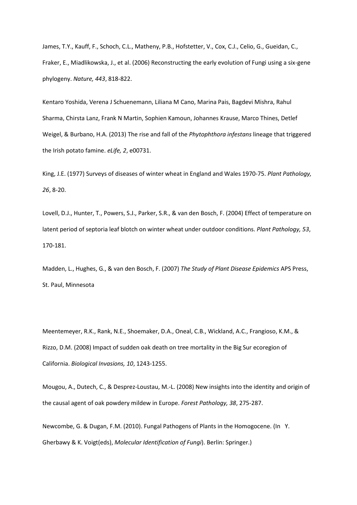<span id="page-19-6"></span>James, T.Y., Kauff, F., Schoch, C.L., Matheny, P.B., Hofstetter, V., Cox, C.J., Celio, G., Gueidan, C., Fraker, E., Miadlikowska, J., et al. (2006) Reconstructing the early evolution of Fungi using a six-gene phylogeny. *Nature, 443*, 818-822.

<span id="page-19-7"></span>Kentaro Yoshida, Verena J Schuenemann, Liliana M Cano, Marina Pais, Bagdevi Mishra, Rahul Sharma, Chirsta Lanz, Frank N Martin, Sophien Kamoun, Johannes Krause, Marco Thines, Detlef Weigel, & Burbano, H.A. (2013) The rise and fall of the *Phytophthora infestans* lineage that triggered the Irish potato famine. *eLife, 2*, e00731.

<span id="page-19-0"></span>King, J.E. (1977) Surveys of diseases of winter wheat in England and Wales 1970-75. *Plant Pathology, 26*, 8-20.

<span id="page-19-3"></span>Lovell, D.J., Hunter, T., Powers, S.J., Parker, S.R., & van den Bosch, F. (2004) Effect of temperature on latent period of septoria leaf blotch on winter wheat under outdoor conditions. *Plant Pathology, 53*, 170-181.

<span id="page-19-4"></span>Madden, L., Hughes, G., & van den Bosch, F. (2007) *The Study of Plant Disease Epidemics* APS Press, St. Paul, Minnesota

<span id="page-19-2"></span>Meentemeyer, R.K., Rank, N.E., Shoemaker, D.A., Oneal, C.B., Wickland, A.C., Frangioso, K.M., & Rizzo, D.M. (2008) Impact of sudden oak death on tree mortality in the Big Sur ecoregion of California. *Biological Invasions, 10*, 1243-1255.

<span id="page-19-1"></span>Mougou, A., Dutech, C., & Desprez-Loustau, M.-L. (2008) New insights into the identity and origin of the causal agent of oak powdery mildew in Europe. *Forest Pathology, 38*, 275-287.

<span id="page-19-5"></span>Newcombe, G. & Dugan, F.M. (2010). Fungal Pathogens of Plants in the Homogocene. (In Y. Gherbawy & K. Voigt(eds), *Molecular Identification of Fungi*). Berlin: Springer.)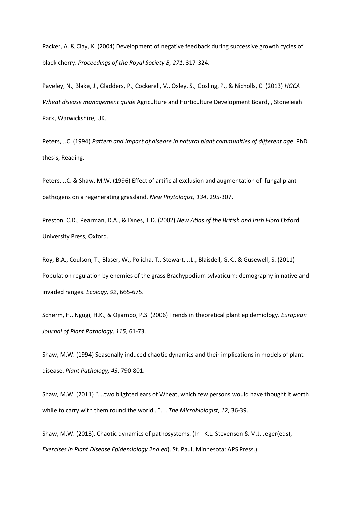<span id="page-20-2"></span>Packer, A. & Clay, K. (2004) Development of negative feedback during successive growth cycles of black cherry. *Proceedings of the Royal Society B, 271*, 317-324.

<span id="page-20-1"></span>Paveley, N., Blake, J., Gladders, P., Cockerell, V., Oxley, S., Gosling, P., & Nicholls, C. (2013) *HGCA Wheat disease management guide* Agriculture and Horticulture Development Board, , Stoneleigh Park, Warwickshire, UK.

<span id="page-20-7"></span>Peters, J.C. (1994) *Pattern and impact of disease in natural plant communities of different age*. PhD thesis, Reading.

<span id="page-20-8"></span>Peters, J.C. & Shaw, M.W. (1996) Effect of artificial exclusion and augmentation of fungal plant pathogens on a regenerating grassland. *New Phytologist, 134*, 295-307.

<span id="page-20-9"></span>Preston, C.D., Pearman, D.A., & Dines, T.D. (2002) *New Atlas of the British and Irish Flora* Oxford University Press, Oxford.

<span id="page-20-3"></span>Roy, B.A., Coulson, T., Blaser, W., Policha, T., Stewart, J.L., Blaisdell, G.K., & Gusewell, S. (2011) Population regulation by enemies of the grass Brachypodium sylvaticum: demography in native and invaded ranges. *Ecology, 92*, 665-675.

<span id="page-20-5"></span>Scherm, H., Ngugi, H.K., & Ojiambo, P.S. (2006) Trends in theoretical plant epidemiology. *European Journal of Plant Pathology, 115*, 61-73.

<span id="page-20-6"></span>Shaw, M.W. (1994) Seasonally induced chaotic dynamics and their implications in models of plant disease. *Plant Pathology, 43*, 790-801.

<span id="page-20-0"></span>Shaw, M.W. (2011) "….two blighted ears of Wheat, which few persons would have thought it worth while to carry with them round the world…". . *The Microbiologist, 12*, 36-39.

<span id="page-20-4"></span>Shaw, M.W. (2013). Chaotic dynamics of pathosystems. (In K.L. Stevenson & M.J. Jeger(eds), *Exercises in Plant Disease Epidemiology 2nd ed*). St. Paul, Minnesota: APS Press.)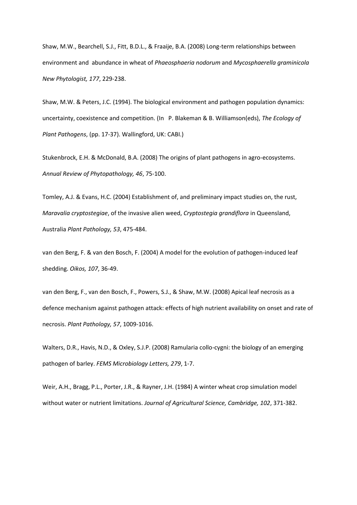<span id="page-21-4"></span>Shaw, M.W., Bearchell, S.J., Fitt, B.D.L., & Fraaije, B.A. (2008) Long-term relationships between environment and abundance in wheat of *Phaeosphaeria nodorum* and *Mycosphaerella graminicola New Phytologist, 177*, 229-238.

<span id="page-21-5"></span>Shaw, M.W. & Peters, J.C. (1994). The biological environment and pathogen population dynamics: uncertainty, coexistence and competition. (In P. Blakeman & B. Williamson(eds), *The Ecology of Plant Pathogens*, (pp. 17-37). Wallingford, UK: CABI.)

<span id="page-21-3"></span>Stukenbrock, E.H. & McDonald, B.A. (2008) The origins of plant pathogens in agro-ecosystems. *Annual Review of Phytopathology, 46*, 75-100.

<span id="page-21-0"></span>Tomley, A.J. & Evans, H.C. (2004) Establishment of, and preliminary impact studies on, the rust, *Maravalia cryptostegiae*, of the invasive alien weed, *Cryptostegia grandiflora* in Queensland, Australia *Plant Pathology, 53*, 475-484.

<span id="page-21-6"></span>van den Berg, F. & van den Bosch, F. (2004) A model for the evolution of pathogen-induced leaf shedding. *Oikos, 107*, 36-49.

<span id="page-21-7"></span>van den Berg, F., van den Bosch, F., Powers, S.J., & Shaw, M.W. (2008) Apical leaf necrosis as a defence mechanism against pathogen attack: effects of high nutrient availability on onset and rate of necrosis. *Plant Pathology, 57*, 1009-1016.

<span id="page-21-2"></span>Walters, D.R., Havis, N.D., & Oxley, S.J.P. (2008) Ramularia collo-cygni: the biology of an emerging pathogen of barley. *FEMS Microbiology Letters, 279*, 1-7.

<span id="page-21-1"></span>Weir, A.H., Bragg, P.L., Porter, J.R., & Rayner, J.H. (1984) A winter wheat crop simulation model without water or nutrient limitations. *Journal of Agricultural Science, Cambridge, 102*, 371-382.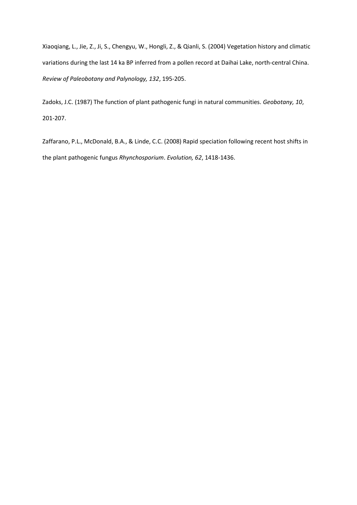<span id="page-22-2"></span>Xiaoqiang, L., Jie, Z., Ji, S., Chengyu, W., Hongli, Z., & Qianli, S. (2004) Vegetation history and climatic variations during the last 14 ka BP inferred from a pollen record at Daihai Lake, north-central China. *Review of Paleobotany and Palynology, 132*, 195-205.

<span id="page-22-0"></span>Zadoks, J.C. (1987) The function of plant pathogenic fungi in natural communities. *Geobotany, 10*, 201-207.

<span id="page-22-1"></span>Zaffarano, P.L., McDonald, B.A., & Linde, C.C. (2008) Rapid speciation following recent host shifts in the plant pathogenic fungus *Rhynchosporium*. *Evolution, 62*, 1418-1436.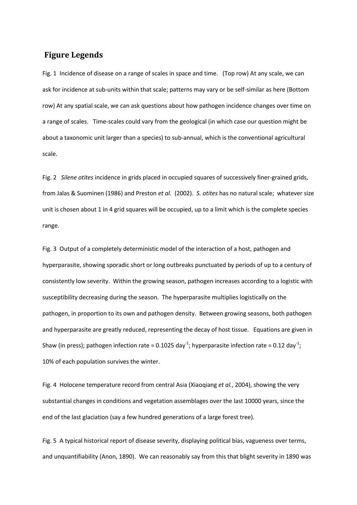#### **Figure Legends**

Fig. 1 Incidence of disease on a range of scales in space and time. (Top row) At any scale, we can ask for incidence at sub-units within that scale; patterns may vary or be self-similar as here (Bottom row) At any spatial scale, we can ask questions about how pathogen incidence changes over time on a range of scales. Time-scales could vary from the geological (in which case our question might be about a taxonomic unit larger than a species) to sub-annual, which is the conventional agricultural scale.

Fig. 2 *Silene otites* incidence in grids placed in occupied squares of successively finer-grained grids, from Jalas & Suominen [\(1986\)](#page-18-7) and Preston *et al.* [\(2002\)](#page-20-9). *S. otites* has no natural scale; whatever size unit is chosen about 1 in 4 grid squares will be occupied, up to a limit which is the complete species range.

Fig. 3 Output of a completely deterministic model of the interaction of a host, pathogen and hyperparasite, showing sporadic short or long outbreaks punctuated by periods of up to a century of consistently low severity. Within the growing season, pathogen increases according to a logistic with susceptibility decreasing during the season. The hyperparasite multiplies logistically on the pathogen, in proportion to its own and pathogen density. Between growing seasons, both pathogen and hyperparasite are greatly reduced, representing the decay of host tissue. Equations are given in Shaw (in press); pathogen infection rate = 0.1025 day<sup>-1</sup>; hyperparasite infection rate = 0.12 day<sup>-1</sup>; 10% of each population survives the winter.

Fig. 4 Holocene temperature record from central Asia [\(Xiaoqiang](#page-22-2) *et al.*, 2004), showing the very substantial changes in conditions and vegetation assemblages over the last 10000 years, since the end of the last glaciation (say a few hundred generations of a large forest tree).

Fig. 5 A typical historical report of disease severity, displaying political bias, vagueness over terms, and unquantifiability [\(Anon, 1890\)](#page-16-8). We can reasonably say from this that blight severity in 1890 was